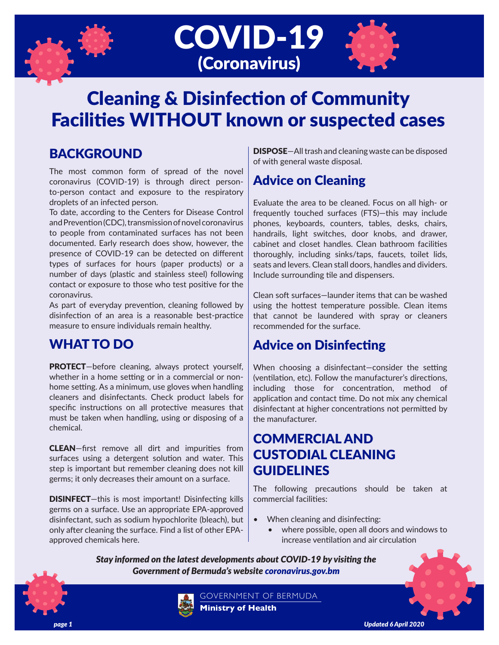





# Cleaning & Disinfection of Community Facilities WITHOUT known or suspected cases

# BACKGROUND

The most common form of spread of the novel coronavirus (COVID-19) is through direct personto-person contact and exposure to the respiratory droplets of an infected person.

To date, according to the Centers for Disease Control and Prevention (CDC), transmission of novel coronavirus to people from contaminated surfaces has not been documented. Early research does show, however, the presence of COVID-19 can be detected on different types of surfaces for hours (paper products) or a number of days (plastic and stainless steel) following contact or exposure to those who test positive for the coronavirus.

As part of everyday prevention, cleaning followed by disinfection of an area is a reasonable best-practice measure to ensure individuals remain healthy.

## WHAT TO DO

PROTECT-before cleaning, always protect yourself, whether in a home setting or in a commercial or nonhome setting. As a minimum, use gloves when handling cleaners and disinfectants. Check product labels for specific instructions on all protective measures that must be taken when handling, using or disposing of a chemical.

CLEAN—first remove all dirt and impurities from surfaces using a detergent solution and water. This step is important but remember cleaning does not kill germs; it only decreases their amount on a surface.

DISINFECT—this is most important! Disinfecting kills germs on a surface. Use an appropriate EPA-approved disinfectant, such as sodium hypochlorite (bleach), but only after cleaning the surface. Find a list of other EPAapproved chemicals here.

DISPOSE—All trash and cleaning waste can be disposed of with general waste disposal.

# Advice on Cleaning

Evaluate the area to be cleaned. Focus on all high- or frequently touched surfaces (FTS)—this may include phones, keyboards, counters, tables, desks, chairs, handrails, light switches, door knobs, and drawer, cabinet and closet handles. Clean bathroom facilities thoroughly, including sinks/taps, faucets, toilet lids, seats and levers. Clean stall doors, handles and dividers. Include surrounding tile and dispensers.

Clean soft surfaces—launder items that can be washed using the hottest temperature possible. Clean items that cannot be laundered with spray or cleaners recommended for the surface.

## Advice on Disinfecting

When choosing a disinfectant—consider the setting (ventilation, etc). Follow the manufacturer's directions, including those for concentration, method of application and contact time. Do not mix any chemical disinfectant at higher concentrations not permitted by the manufacturer.

# COMMERCIAL AND CUSTODIAL CLEANING GUIDELINES

The following precautions should be taken at commercial facilities:

- When cleaning and disinfecting:
	- where possible, open all doors and windows to increase ventilation and air circulation

*Stay informed on the latest developments about COVID-19 by visiting the Government of Bermuda's website coronavirus.gov.bm*



GOVERNMENT OF BERMUDA **Ministry of Health**

*page 1 Updated 6 April 2020*